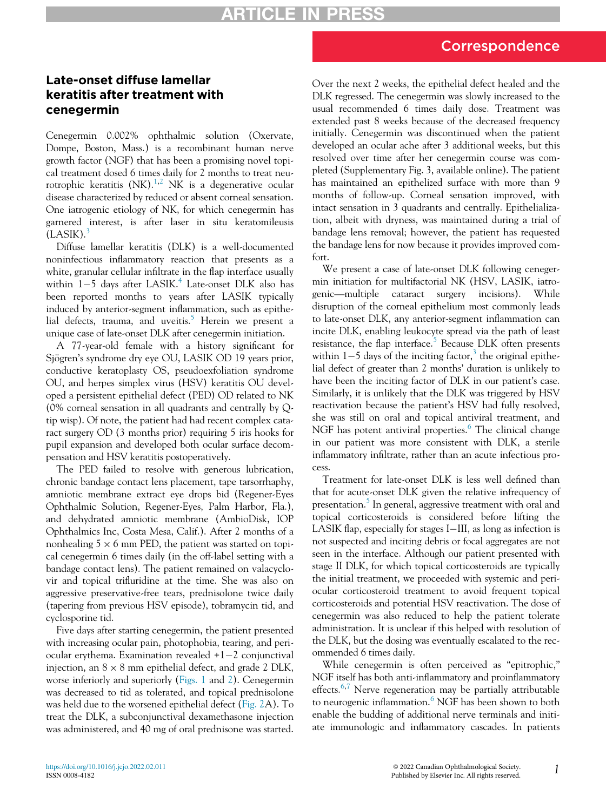## Correspondence

## Late-onset diffuse lamellar keratitis after treatment with cenegermin

Cenegermin 0.002% ophthalmic solution (Oxervate, Dompe, Boston, Mass.) is a recombinant human nerve growth factor (NGF) that has been a promising novel topical treatment dosed 6 times daily for 2 months to treat neurotrophic keratitis  $(NK)$ .<sup>[1](#page-2-0)[,2](#page-2-1)</sup> NK is a degenerative ocular disease characterized by reduced or absent corneal sensation. One iatrogenic etiology of NK, for which cenegermin has garnered interest, is after laser in situ keratomileusis  $(LASIK).$ <sup>[3](#page-2-2)</sup>

Diffuse lamellar keratitis (DLK) is a well-documented noninfectious inflammatory reaction that presents as a white, granular cellular infiltrate in the flap interface usually within  $1-5$  days after LASIK.<sup>[4](#page-2-3)</sup> Late-onset DLK also has been reported months to years after LASIK typically induced by anterior-segment inflammation, such as epithe-lial defects, trauma, and uveitis.<sup>[5](#page-2-4)</sup> Herein we present a unique case of late-onset DLK after cenegermin initiation.

A 77-year-old female with a history significant for Sjögren's syndrome dry eye OU, LASIK OD 19 years prior, conductive keratoplasty OS, pseudoexfoliation syndrome OU, and herpes simplex virus (HSV) keratitis OU developed a persistent epithelial defect (PED) OD related to NK (0% corneal sensation in all quadrants and centrally by Qtip wisp). Of note, the patient had had recent complex cataract surgery OD (3 months prior) requiring 5 iris hooks for pupil expansion and developed both ocular surface decompensation and HSV keratitis postoperatively.

The PED failed to resolve with generous lubrication, chronic bandage contact lens placement, tape tarsorrhaphy, amniotic membrane extract eye drops bid (Regener-Eyes Ophthalmic Solution, Regener-Eyes, Palm Harbor, Fla.), and dehydrated amniotic membrane (AmbioDisk, IOP Ophthalmics Inc, Costa Mesa, Calif.). After 2 months of a nonhealing  $5 \times 6$  mm PED, the patient was started on topical cenegermin 6 times daily (in the off-label setting with a bandage contact lens). The patient remained on valacyclovir and topical trifluridine at the time. She was also on aggressive preservative-free tears, prednisolone twice daily (tapering from previous HSV episode), tobramycin tid, and cyclosporine tid.

Five days after starting cenegermin, the patient presented with increasing ocular pain, photophobia, tearing, and periocular erythema. Examination revealed  $+1-2$  conjunctival injection, an  $8 \times 8$  mm epithelial defect, and grade 2 DLK, worse inferiorly and superiorly [\(Figs. 1](#page-1-0) and [2\)](#page-1-1). Cenegermin was decreased to tid as tolerated, and topical prednisolone was held due to the worsened epithelial defect ([Fig. 2A](#page-1-1)). To treat the DLK, a subconjunctival dexamethasone injection was administered, and 40 mg of oral prednisone was started.

Over the next 2 weeks, the epithelial defect healed and the DLK regressed. The cenegermin was slowly increased to the usual recommended 6 times daily dose. Treatment was extended past 8 weeks because of the decreased frequency initially. Cenegermin was discontinued when the patient developed an ocular ache after 3 additional weeks, but this resolved over time after her cenegermin course was completed (Supplementary Fig. 3, available online). The patient has maintained an epithelized surface with more than 9 months of follow-up. Corneal sensation improved, with intact sensation in 3 quadrants and centrally. Epithelialization, albeit with dryness, was maintained during a trial of bandage lens removal; however, the patient has requested the bandage lens for now because it provides improved comfort.

We present a case of late-onset DLK following cenegermin initiation for multifactorial NK (HSV, LASIK, iatrogenic—multiple cataract surgery incisions). While disruption of the corneal epithelium most commonly leads to late-onset DLK, any anterior-segment inflammation can incite DLK, enabling leukocyte spread via the path of least resistance, the flap interface.<sup>[5](#page-2-4)</sup> Because DLK often presents within  $1-5$  days of the inciting factor,<sup>[3](#page-2-2)</sup> the original epithelial defect of greater than 2 months' duration is unlikely to have been the inciting factor of DLK in our patient's case. Similarly, it is unlikely that the DLK was triggered by HSV reactivation because the patient's HSV had fully resolved, she was still on oral and topical antiviral treatment, and NGF has potent antiviral properties.<sup>[6](#page-2-5)</sup> The clinical change in our patient was more consistent with DLK, a sterile inflammatory infiltrate, rather than an acute infectious process.

Treatment for late-onset DLK is less well defined than that for acute-onset DLK given the relative infrequency of presentation.<sup>[5](#page-2-4)</sup> In general, aggressive treatment with oral and topical corticosteroids is considered before lifting the LASIK flap, especially for stages  $I$ -III, as long as infection is not suspected and inciting debris or focal aggregates are not seen in the interface. Although our patient presented with stage II DLK, for which topical corticosteroids are typically the initial treatment, we proceeded with systemic and periocular corticosteroid treatment to avoid frequent topical corticosteroids and potential HSV reactivation. The dose of cenegermin was also reduced to help the patient tolerate administration. It is unclear if this helped with resolution of the DLK, but the dosing was eventually escalated to the recommended 6 times daily.

While cenegermin is often perceived as "epitrophic," NGF itself has both anti-inflammatory and proinflammatory effects. $6,7$  $6,7$  Nerve regeneration may be partially attributable to neurogenic inflammation.<sup>[6](#page-2-5)</sup> NGF has been shown to both enable the budding of additional nerve terminals and initiate immunologic and inflammatory cascades. In patients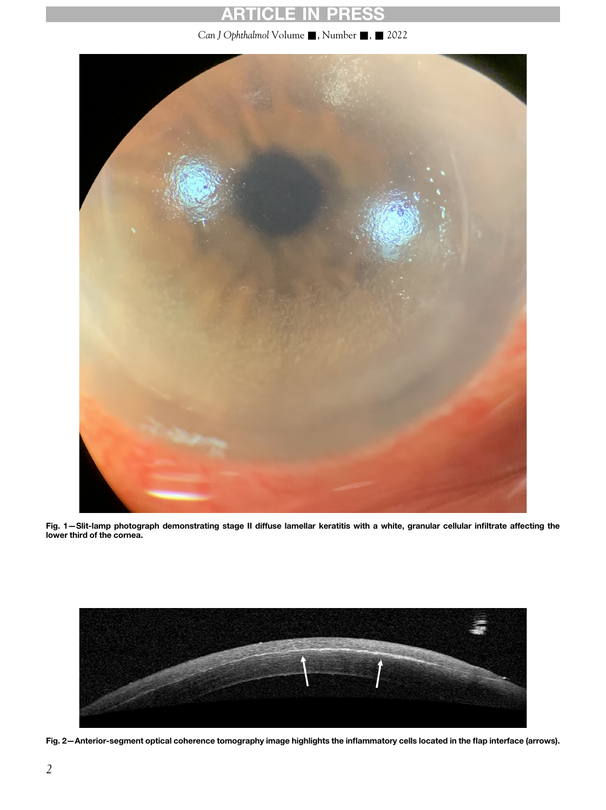# ARTICLE IN PRESS

Can J Ophthalmol Volume , Number , 2022

<span id="page-1-0"></span>

Fig. 1—Slit-lamp photograph demonstrating stage II diffuse lamellar keratitis with a white, granular cellular infiltrate affecting the lower third of the cornea.

<span id="page-1-1"></span>

Fig. 2—Anterior-segment optical coherence tomography image highlights the inflammatory cells located in the flap interface (arrows).